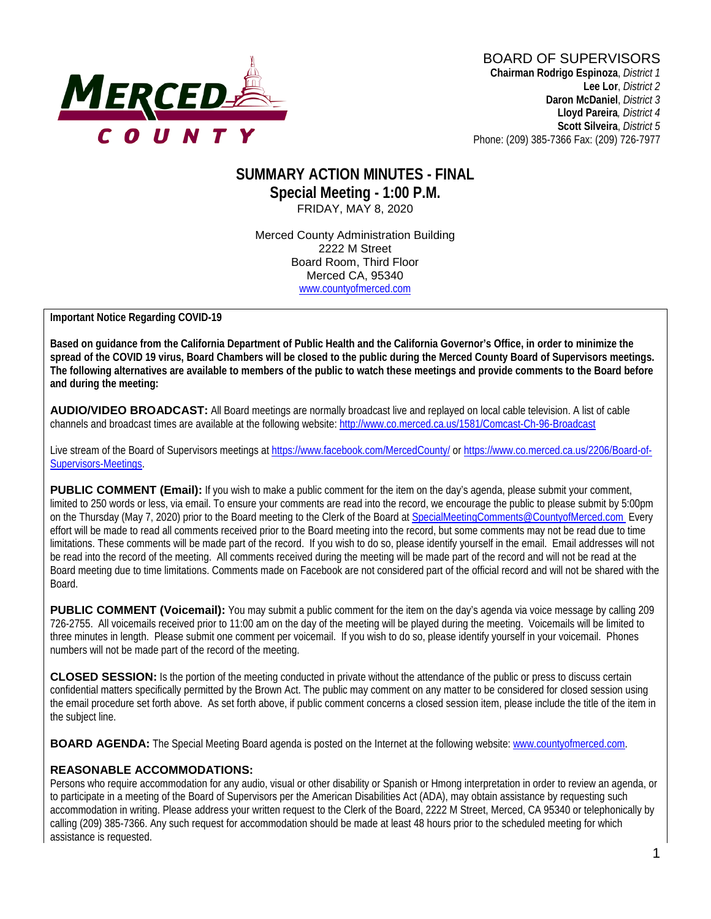

**Lloyd Pareira***, District 4*  **Scott Silveira**, *District 5* Phone: (209) 385-7366 Fax: (209) 726-7977

## **SUMMARY ACTION MINUTES - FINAL Special Meeting - 1:00 P.M.** FRIDAY, MAY 8, 2020

Merced County Administration Building 2222 M Street Board Room, Third Floor Merced CA, 95340 www.countyofmerced.com

**Important Notice Regarding COVID-19** 

**Based on guidance from the California Department of Public Health and the California Governor's Office, in order to minimize the spread of the COVID 19 virus, Board Chambers will be closed to the public during the Merced County Board of Supervisors meetings. The following alternatives are available to members of the public to watch these meetings and provide comments to the Board before and during the meeting:**

**AUDIO/VIDEO BROADCAST:** All Board meetings are normally broadcast live and replayed on local cable television. A list of cable channels and broadcast times are available at the following website[: http://www.co.merced.ca.us/1581/Comcast-Ch-96-Broadcast](http://www.co.merced.ca.us/1581/Comcast-Ch-96-Broadcast)

Live stream of the Board of Supervisors meetings at<https://www.facebook.com/MercedCounty/> o[r https://www.co.merced.ca.us/2206/Board-of-](https://www.co.merced.ca.us/2206/Board-of-Supervisors-Meetings)[Supervisors-Meetings.](https://www.co.merced.ca.us/2206/Board-of-Supervisors-Meetings)

**PUBLIC COMMENT (Email):** If you wish to make a public comment for the item on the day's agenda, please submit your comment, limited to 250 words or less, via email. To ensure your comments are read into the record, we encourage the public to please submit by 5:00pm on the Thursday (May 7, 2020) prior to the Board meeting to the Clerk of the Board at [SpecialMeetingComments@CountyofMerced.com](mailto:SpecialMeetingComments@CountyofMerced.com) Every effort will be made to read all comments received prior to the Board meeting into the record, but some comments may not be read due to time limitations. These comments will be made part of the record. If you wish to do so, please identify yourself in the email. Email addresses will not be read into the record of the meeting. All comments received during the meeting will be made part of the record and will not be read at the Board meeting due to time limitations. Comments made on Facebook are not considered part of the official record and will not be shared with the Board.

**PUBLIC COMMENT (Voicemail):** You may submit a public comment for the item on the day's agenda via voice message by calling 209 726-2755. All voicemails received prior to 11:00 am on the day of the meeting will be played during the meeting. Voicemails will be limited to three minutes in length. Please submit one comment per voicemail. If you wish to do so, please identify yourself in your voicemail. Phones numbers will not be made part of the record of the meeting.

**CLOSED SESSION:** Is the portion of the meeting conducted in private without the attendance of the public or press to discuss certain confidential matters specifically permitted by the Brown Act. The public may comment on any matter to be considered for closed session using the email procedure set forth above. As set forth above, if public comment concerns a closed session item, please include the title of the item in the subject line.

**BOARD AGENDA:** The Special Meeting Board agenda is posted on the Internet at the following website: [www.countyofmerced.com.](http://www.countyofmerced.com/)

#### **REASONABLE ACCOMMODATIONS:**

Persons who require accommodation for any audio, visual or other disability or Spanish or Hmong interpretation in order to review an agenda, or to participate in a meeting of the Board of Supervisors per the American Disabilities Act (ADA), may obtain assistance by requesting such accommodation in writing. Please address your written request to the Clerk of the Board, 2222 M Street, Merced, CA 95340 or telephonically by calling (209) 385-7366. Any such request for accommodation should be made at least 48 hours prior to the scheduled meeting for which assistance is requested.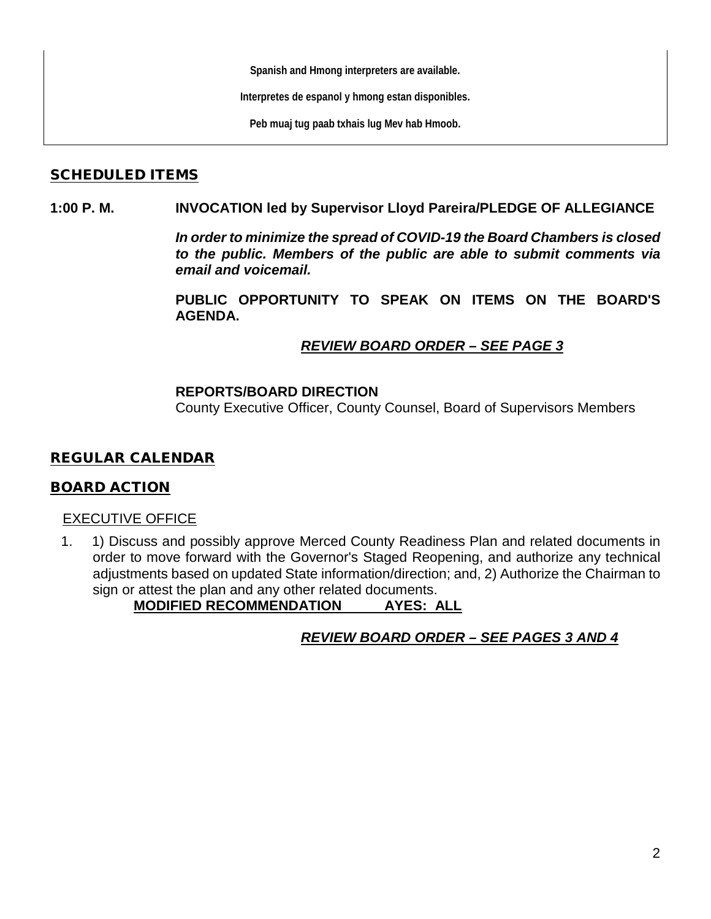**Spanish and Hmong interpreters are available.**

**Interpretes de espanol y hmong estan disponibles.**

**Peb muaj tug paab txhais lug Mev hab Hmoob.**

#### SCHEDULED ITEMS

#### **1:00 P. M. INVOCATION led by Supervisor Lloyd Pareira/PLEDGE OF ALLEGIANCE**

*In order to minimize the spread of COVID-19 the Board Chambers is closed to the public. Members of the public are able to submit comments via email and voicemail.*

**PUBLIC OPPORTUNITY TO SPEAK ON ITEMS ON THE BOARD'S AGENDA.**

## *REVIEW BOARD ORDER – SEE PAGE 3*

#### **REPORTS/BOARD DIRECTION**

County Executive Officer, County Counsel, Board of Supervisors Members

## REGULAR CALENDAR

## BOARD ACTION

#### EXECUTIVE OFFICE

1. 1) Discuss and possibly approve Merced County Readiness Plan and related documents in order to move forward with the Governor's Staged Reopening, and authorize any technical adjustments based on updated State information/direction; and, 2) Authorize the Chairman to sign or attest the plan and any other related documents.

**MODIFIED RECOMMENDATION AYES: ALL**

# *REVIEW BOARD ORDER – SEE PAGES 3 AND 4*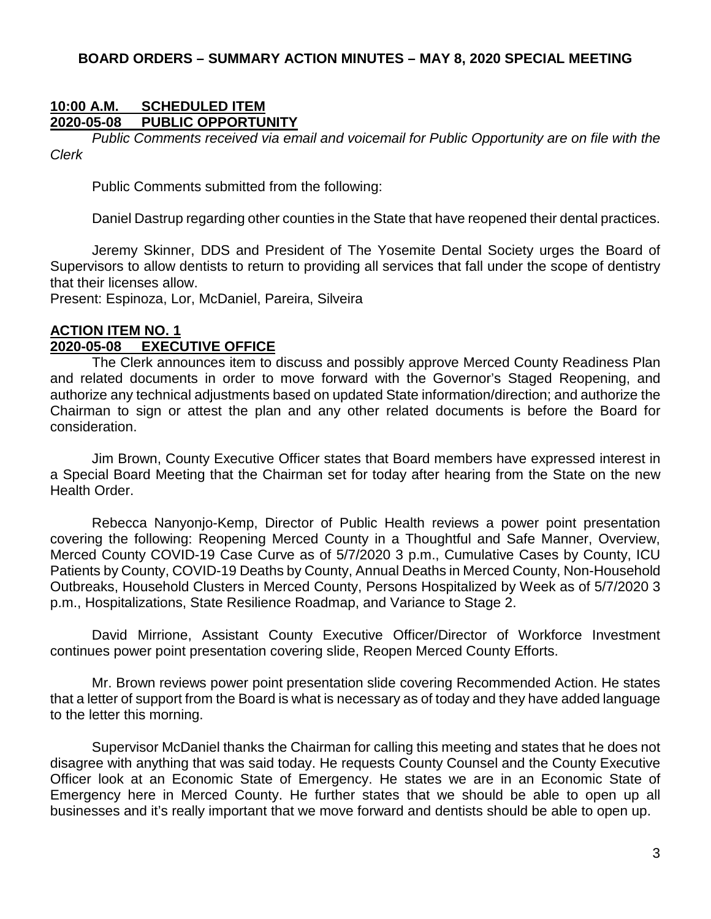#### **BOARD ORDERS – SUMMARY ACTION MINUTES – MAY 8, 2020 SPECIAL MEETING**

#### **10:00 A.M. SCHEDULED ITEM 2020-05-08 PUBLIC OPPORTUNITY**

*Public Comments received via email and voicemail for Public Opportunity are on file with the Clerk*

Public Comments submitted from the following:

Daniel Dastrup regarding other counties in the State that have reopened their dental practices.

Jeremy Skinner, DDS and President of The Yosemite Dental Society urges the Board of Supervisors to allow dentists to return to providing all services that fall under the scope of dentistry that their licenses allow.

Present: Espinoza, Lor, McDaniel, Pareira, Silveira

# **ACTION ITEM NO. 1**

# **2020-05-08 EXECUTIVE OFFICE**

The Clerk announces item to discuss and possibly approve Merced County Readiness Plan and related documents in order to move forward with the Governor's Staged Reopening, and authorize any technical adjustments based on updated State information/direction; and authorize the Chairman to sign or attest the plan and any other related documents is before the Board for consideration.

Jim Brown, County Executive Officer states that Board members have expressed interest in a Special Board Meeting that the Chairman set for today after hearing from the State on the new Health Order.

Rebecca Nanyonjo-Kemp, Director of Public Health reviews a power point presentation covering the following: Reopening Merced County in a Thoughtful and Safe Manner, Overview, Merced County COVID-19 Case Curve as of 5/7/2020 3 p.m., Cumulative Cases by County, ICU Patients by County, COVID-19 Deaths by County, Annual Deaths in Merced County, Non-Household Outbreaks, Household Clusters in Merced County, Persons Hospitalized by Week as of 5/7/2020 3 p.m., Hospitalizations, State Resilience Roadmap, and Variance to Stage 2.

David Mirrione, Assistant County Executive Officer/Director of Workforce Investment continues power point presentation covering slide, Reopen Merced County Efforts.

Mr. Brown reviews power point presentation slide covering Recommended Action. He states that a letter of support from the Board is what is necessary as of today and they have added language to the letter this morning.

Supervisor McDaniel thanks the Chairman for calling this meeting and states that he does not disagree with anything that was said today. He requests County Counsel and the County Executive Officer look at an Economic State of Emergency. He states we are in an Economic State of Emergency here in Merced County. He further states that we should be able to open up all businesses and it's really important that we move forward and dentists should be able to open up.